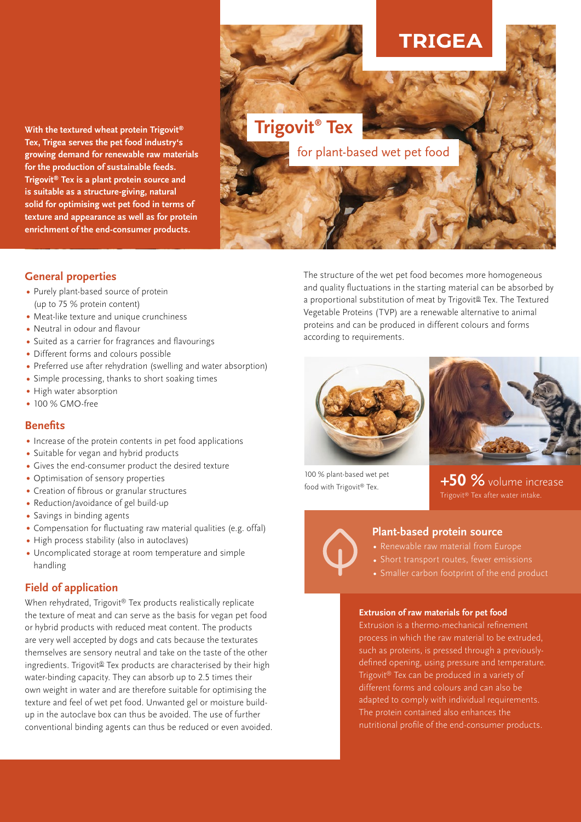**With the textured wheat protein Trigovit® Tex, Trigea serves the pet food industry's growing demand for renewable raw materials for the production of sustainable feeds. Trigovit® Tex is a plant protein source and is suitable as a structure-giving, natural solid for optimising wet pet food in terms of texture and appearance as well as for protein enrichment of the end-consumer products.**

# **RIGEA**

**Trigovit® Tex** 

for plant-based wet pet food

### **General properties**

- Purely plant-based source of protein (up to 75 % protein content)
- Meat-like texture and unique crunchiness
- Neutral in odour and flavour
- Suited as a carrier for fragrances and flavourings
- Different forms and colours possible
- Preferred use after rehydration (swelling and water absorption)
- Simple processing, thanks to short soaking times
- High water absorption
- 100 % GMO-free

### **Benefits**

- Increase of the protein contents in pet food applications
- Suitable for vegan and hybrid products
- Gives the end-consumer product the desired texture
- Optimisation of sensory properties
- Creation of fibrous or granular structures
- Reduction/avoidance of gel build-up
- Savings in binding agents
- Compensation for fluctuating raw material qualities (e.g. offal)
- High process stability (also in autoclaves)
- Uncomplicated storage at room temperature and simple handling

### **Field of application**

When rehydrated, Trigovit® Tex products realistically replicate the texture of meat and can serve as the basis for vegan pet food or hybrid products with reduced meat content. The products are very well accepted by dogs and cats because the texturates themselves are sensory neutral and take on the taste of the other ingredients. Trigovit® Tex products are characterised by their high water-binding capacity. They can absorb up to 2.5 times their own weight in water and are therefore suitable for optimising the texture and feel of wet pet food. Unwanted gel or moisture buildup in the autoclave box can thus be avoided. The use of further conventional binding agents can thus be reduced or even avoided. The structure of the wet pet food becomes more homogeneous and quality fluctuations in the starting material can be absorbed by a proportional substitution of meat by Trigovit<sup>®</sup> Tex. The Textured Vegetable Proteins (TVP) are a renewable alternative to animal proteins and can be produced in different colours and forms according to requirements.





100 % plant-based wet pet food with Trigovit<sup>®</sup> Tex.

**+50 %** volume increase Trigovit® Tex after water intake.



#### **Plant-based protein source**

- 
- 
- Smaller carbon footprint of the end product

#### **Extrusion of raw materials for pet food**

Extrusion is a thermo-mechanical refinement process in which the raw material to be extruded, such as proteins, is pressed through a previouslydefined opening, using pressure and temperature. Trigovit® Tex can be produced in a variety of different forms and colours and can also be adapted to comply with individual requirements. The protein contained also enhances the nutritional profile of the end-consumer products.